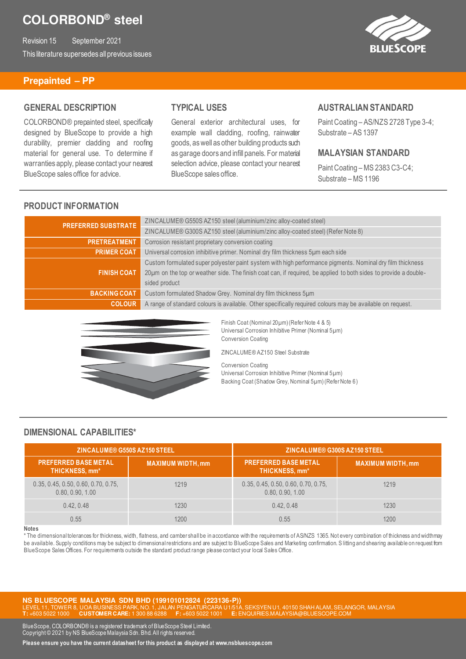Revision 15 September 2021 This literature supersedes all previous issues



#### **Prepainted – PP**

### **GENERAL DESCRIPTION**

COLORBOND® prepainted steel, specifically designed by BlueScope to provide a high durability, premier cladding and roofing material for general use. To determine if warranties apply, please contact your nearest BlueScope sales office for advice.

# **TYPICAL USES**

General exterior architectural uses, for example wall cladding, roofing, rainwater goods, as well as other building products such as garage doors and infill panels. For material selection advice, please contact your nearest BlueScope sales office.

#### **AUSTRALIAN STANDARD**

Paint Coating – AS/NZS 2728 Type 3-4; Substrate – AS 1397

### **MALAYSIAN STANDARD**

Paint Coating – MS 2383 C3-C4; Substrate – MS 1196

# **PRODUCT INFORMATION**

| <b>PREFERRED SUBSTRATE</b> | ZINCALUME® G550S AZ150 steel (aluminium/zinc alloy-coated steel)                                                 |
|----------------------------|------------------------------------------------------------------------------------------------------------------|
|                            | ZINCALUME® G300S AZ150 steel (aluminium/zinc alloy-coated steel) (Refer Note 8)                                  |
| <b>PRETREATMENT</b>        | Corrosion resistant proprietary conversion coating                                                               |
| <b>PRIMER COAT</b>         | Universal corrosion inhibitive primer. Nominal dry film thickness 5um each side                                  |
|                            | Custom formulated super polyester paint system with high performance pigments. Nominal dry film thickness        |
| <b>FINISH COAT</b>         | 20µm on the top or weather side. The finish coat can, if required, be applied to both sides to provide a double- |
|                            | sided product                                                                                                    |
| <b>BACKING COAT</b>        | Custom formulated Shadow Grey. Nominal dry film thickness 5um                                                    |
| <b>COLOUR</b>              | A range of standard colours is available. Other specifically required colours may be available on request.       |



Finish Coat (Nominal 20µm) (Refer Note 4 & 5) Universal Corrosion Inhibitive Primer (Nominal 5µm) Conversion Coating

ZINCALUME® AZ150 Steel Substrate

Conversion Coating Universal Corrosion Inhibitive Primer (Nominal 5µm) Backing Coat (Shadow Grey, Nominal 5µm) (Refer Note 6)

### **DIMENSIONAL CAPABILITIES\***

| ZINCALUME® G550S AZ150 STEEL                            |                          | ZINCALUME® G300S AZ150 STEEL                            |                          |
|---------------------------------------------------------|--------------------------|---------------------------------------------------------|--------------------------|
| <b>PREFERRED BASE METAL.</b><br>THICKNESS, mm*          | <b>MAXIMUM WIDTH, mm</b> | <b>PREFERRED BASE METAL</b><br>THICKNESS, mm*           | <b>MAXIMUM WIDTH, mm</b> |
| 0.35, 0.45, 0.50, 0.60, 0.70, 0.75,<br>0.80, 0.90, 1.00 | 1219                     | 0.35, 0.45, 0.50, 0.60, 0.70, 0.75,<br>0.80, 0.90, 1.00 | 1219                     |
| 0.42, 0.48                                              | 1230                     | 0.42.0.48                                               | 1230                     |
| 0.55                                                    | 1200                     | 0.55                                                    | 1200                     |

#### **Notes**

\* The dimensional tolerances for thickness, width, flatness, and camber shall be in accordance with the requirements of AS/NZS 1365. Not every combination of thickness and width may be available. Supply conditions may be subject to dimensional restrictions and are subject to BlueScope Sales and Marketing confirmation. S litting and shearing available on request from BlueScope Sales Offices. For requirements outside the standard product range please contact your local Sales Office.

**NS BLUESCOPE MALAYSIA SDN BHD (199101012824 (223136-P))**  40150 SHAH ALAM, SELANGOR, MALAYSIA **T:** +603 5022 1000 **CUSTOMER CARE:** 1 300 88 6288 **F:** +603 5022 1001 **E:** ENQUIRIES.MALAYSIA@BLUESCOPE.COM

BlueScope, COLORBOND® is a registered trademark of BlueScope Steel Limited. Copyright © 2021 by NS BlueScope Malaysia Sdn. Bhd. All rights reserved.

**Please ensure you have the current datasheet for this product as displayed at www.nsbluescope.com**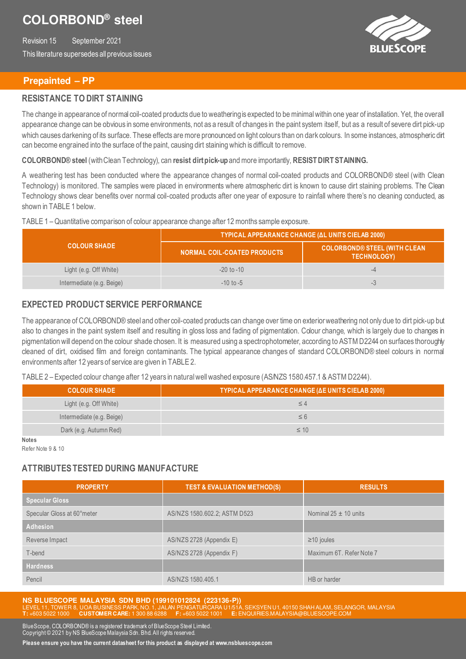Revision 15 September 2021 This literature supersedes all previous issues



### **Prepainted – PP**

### **RESISTANCE TO DIRT STAINING**

The change in appearance of normal coil-coated products due to weathering is expected to be minimal within one year of installation. Yet, the overall appearance change can be obvious in some environments, not as a result of changes in the paint system itself, but as a result of severe dirt pick-up which causes darkening of its surface. These effects are more pronounced on light colours than on dark colours. In some instances, atmospheric dit can become engrained into the surface of the paint, causing dirt staining which is difficult to remove.

**COLORBOND® steel** (with Clean Technology), can **resist dirt pick-up** and more importantly, **RESISTDIRT STAINING.** 

A weathering test has been conducted where the appearance changes of normal coil-coated products and COLORBOND® steel (with Clean Technology) is monitored. The samples were placed in environments where atmospheric dirt is known to cause dirt staining problems. The Clean Technology shows clear benefits over normal coil-coated products after one year of exposure to rainfall where there's no cleaning conducted, as shown in TABLE 1 below.

#### TABLE 1 – Quantitative comparison of colour appearance change after 12 months sample exposure.

|                           | TYPICAL APPEARANCE CHANGE (AL UNITS CIELAB 2000) |                                                           |  |
|---------------------------|--------------------------------------------------|-----------------------------------------------------------|--|
| <b>COLOUR SHADE</b>       | NORMAL COIL-COATED PRODUCTS                      | <b>COLORBOND® STEEL (WITH CLEAN</b><br><b>TECHNOLOGY)</b> |  |
| Light (e.g. Off White)    | $-20$ to $-10$                                   | -4                                                        |  |
| Intermediate (e.g. Beige) | $-10$ to $-5$                                    | $-5$                                                      |  |

## **EXPECTED PRODUCT SERVICE PERFORMANCE**

The appearance of COLORBOND® steel and other coil-coated products can change over time on exterior weathering not only due to dirt pick-up but also to changes in the paint system itself and resulting in gloss loss and fading of pigmentation. Colour change, which is largely due to changes in pigmentation will depend on the colour shade chosen. It is measured using a spectrophotometer, according to ASTM D2244 on surfaces thoroughly cleaned of dirt, oxidised film and foreign contaminants. The typical appearance changes of standard COLORBOND® steel colours in normal environments after 12 years of service are given in TABLE 2.

TABLE 2 – Expected colour change after 12 years in natural well washed exposure (AS/NZS 1580.457.1 & ASTM D2244).

| <b>COLOUR SHADE</b>       | <b>TYPICAL APPEARANCE CHANGE (ΔΕ UNITS CIELAB 2000)</b> |
|---------------------------|---------------------------------------------------------|
| Light (e.g. Off White)    | ≤ 4                                                     |
| Intermediate (e.g. Beige) | $\leq 6$                                                |
| Dark (e.g. Autumn Red)    | $\leq 10$                                               |
| <b>Notes</b>              |                                                         |

Refer Note 9 & 10

# **ATTRIBUTES TESTED DURING MANUFACTURE**

| <b>PROPERTY</b>            | <b>TEST &amp; EVALUATION METHOD(S)</b> | <b>RESULTS</b>            |
|----------------------------|----------------------------------------|---------------------------|
| <b>Specular Gloss</b>      |                                        |                           |
| Specular Gloss at 60°meter | AS/NZS 1580.602.2; ASTM D523           | Nominal $25 \pm 10$ units |
| <b>Adhesion</b>            |                                        |                           |
| Reverse Impact             | AS/NZS 2728 (Appendix E)               | $\geq$ 10 joules          |
| T-bend                     | AS/NZS 2728 (Appendix F)               | Maximum 6T. Refer Note 7  |
| <b>Hardness</b>            |                                        |                           |
| Pencil                     | AS/NZS 1580.405.1                      | HB or harder              |

**NS BLUESCOPE MALAYSIA SDN BHD (199101012824 (223136-P))**  40150 SHAH ALAM, SELANGOR, MALAYSIA **T:** +603 5022 1000 **CUSTOMER CARE:** 1 300 88 6288 **F:** +603 5022 1001 **E:** ENQUIRIES.MALAYSIA@BLUESCOPE.COM

BlueScope, COLORBOND® is a registered trademark of BlueScope Steel Limited. Copyright © 2021 by NS BlueScope Malaysia Sdn. Bhd. All rights reserved.

**Please ensure you have the current datasheet for this product as displayed at www.nsbluescope.com**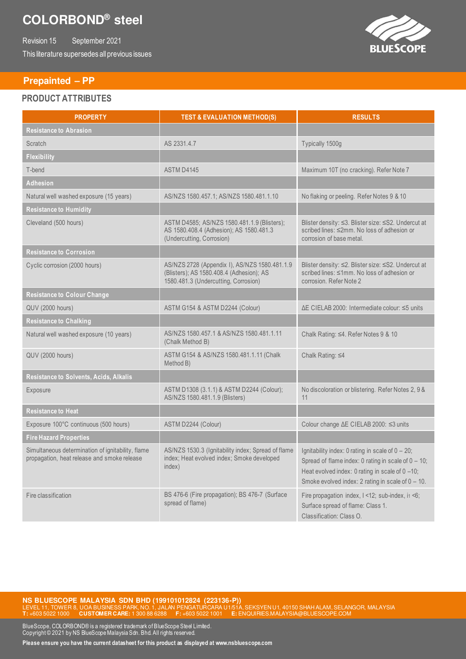Revision 15 September 2021 This literature supersedes all previous issues



#### **Prepainted – PP**

#### **PRODUCT ATTRIBUTES**

| <b>PROPERTY</b>                                                                                  | <b>TEST &amp; EVALUATION METHOD(S)</b>                                                                                            | <b>RESULTS</b>                                                                                                                                                                                                           |
|--------------------------------------------------------------------------------------------------|-----------------------------------------------------------------------------------------------------------------------------------|--------------------------------------------------------------------------------------------------------------------------------------------------------------------------------------------------------------------------|
| <b>Resistance to Abrasion</b>                                                                    |                                                                                                                                   |                                                                                                                                                                                                                          |
| Scratch                                                                                          | AS 2331.4.7                                                                                                                       | Typically 1500g                                                                                                                                                                                                          |
| <b>Flexibility</b>                                                                               |                                                                                                                                   |                                                                                                                                                                                                                          |
| T-bend                                                                                           | ASTM D4145                                                                                                                        | Maximum 10T (no cracking). Refer Note 7                                                                                                                                                                                  |
| <b>Adhesion</b>                                                                                  |                                                                                                                                   |                                                                                                                                                                                                                          |
| Natural well washed exposure (15 years)                                                          | AS/NZS 1580.457.1; AS/NZS 1580.481.1.10                                                                                           | No flaking or peeling. Refer Notes 9 & 10                                                                                                                                                                                |
| <b>Resistance to Humidity</b>                                                                    |                                                                                                                                   |                                                                                                                                                                                                                          |
| Cleveland (500 hours)                                                                            | ASTM D4585; AS/NZS 1580.481.1.9 (Blisters);<br>AS 1580.408.4 (Adhesion); AS 1580.481.3<br>(Undercutting, Corrosion)               | Blister density: ≤3. Blister size: ≤S2. Undercut at<br>scribed lines: ≤2mm. No loss of adhesion or<br>corrosion of base metal.                                                                                           |
| <b>Resistance to Corrosion</b>                                                                   |                                                                                                                                   |                                                                                                                                                                                                                          |
| Cyclic corrosion (2000 hours)                                                                    | AS/NZS 2728 (Appendix I), AS/NZS 1580.481.1.9<br>(Blisters); AS 1580.408.4 (Adhesion); AS<br>1580.481.3 (Undercutting, Corrosion) | Blister density: ≤2. Blister size: ≤S2. Undercut at<br>scribed lines: ≤1mm. No loss of adhesion or<br>corrosion. Refer Note 2                                                                                            |
| <b>Resistance to Colour Change</b>                                                               |                                                                                                                                   |                                                                                                                                                                                                                          |
| <b>QUV (2000 hours)</b>                                                                          | ASTM G154 & ASTM D2244 (Colour)                                                                                                   | ∆E CIELAB 2000: Intermediate colour: ≤5 units                                                                                                                                                                            |
| <b>Resistance to Chalking</b>                                                                    |                                                                                                                                   |                                                                                                                                                                                                                          |
| Natural well washed exposure (10 years)                                                          | AS/NZS 1580.457.1 & AS/NZS 1580.481.1.11<br>(Chalk Method B)                                                                      | Chalk Rating: ≤4. Refer Notes 9 & 10                                                                                                                                                                                     |
| QUV (2000 hours)                                                                                 | ASTM G154 & AS/NZS 1580.481.1.11 (Chalk<br>Method B)                                                                              | Chalk Rating: ≤4                                                                                                                                                                                                         |
| Resistance to Solvents, Acids, Alkalis                                                           |                                                                                                                                   |                                                                                                                                                                                                                          |
| Exposure                                                                                         | ASTM D1308 (3.1.1) & ASTM D2244 (Colour);<br>AS/NZS 1580.481.1.9 (Blisters)                                                       | No discoloration or blistering. Refer Notes 2, 9 &<br>11                                                                                                                                                                 |
| <b>Resistance to Heat</b>                                                                        |                                                                                                                                   |                                                                                                                                                                                                                          |
| Exposure 100°C continuous (500 hours)                                                            | ASTM D2244 (Colour)                                                                                                               | Colour change ∆E CIELAB 2000: ≤3 units                                                                                                                                                                                   |
| <b>Fire Hazard Properties</b>                                                                    |                                                                                                                                   |                                                                                                                                                                                                                          |
| Simultaneous determination of ignitability, flame<br>propagation, heat release and smoke release | AS/NZS 1530.3 (Ignitability index; Spread of flame<br>index; Heat evolved index; Smoke developed<br>index)                        | Ignitability index: 0 rating in scale of $0 - 20$ ;<br>Spread of flame index: 0 rating in scale of $0 - 10$ ;<br>Heat evolved index: 0 rating in scale of 0 -10;<br>Smoke evolved index: 2 rating in scale of $0 - 10$ . |
| Fire classification                                                                              | BS 476-6 (Fire propagation); BS 476-7 (Surface<br>spread of flame)                                                                | Fire propagation index, $1 < 12$ ; sub-index, i $1 < 6$ ;<br>Surface spread of flame: Class 1.<br>Classification: Class O.                                                                                               |

**NS BLUESCOPE MALAYSIA SDN BHD (199101012824 (223136-P))**<br>LEVEL 11, TOWER 8, UOA BUSINESS PARK, NO. 1, JALAN PENGATURCARA U1/51A, SEKSYEN U1, 40150 SHAH ALAM, SELANGOR, MALAYSIA **T:** +603 5022 1000 **CUSTOMER CARE:** 1 300 88 6288 **F:** +603 5022 1001 **E:** ENQUIRIES.MALAYSIA@BLUESCOPE.COM

BlueScope, COLORBOND® is a registered trademark of BlueScope Steel Limited. Copyright © 2021 by NS BlueScope Malaysia Sdn. Bhd. All rights reserved.

**Please ensure you have the current datasheet for this product as displayed at www.nsbluescope.com**